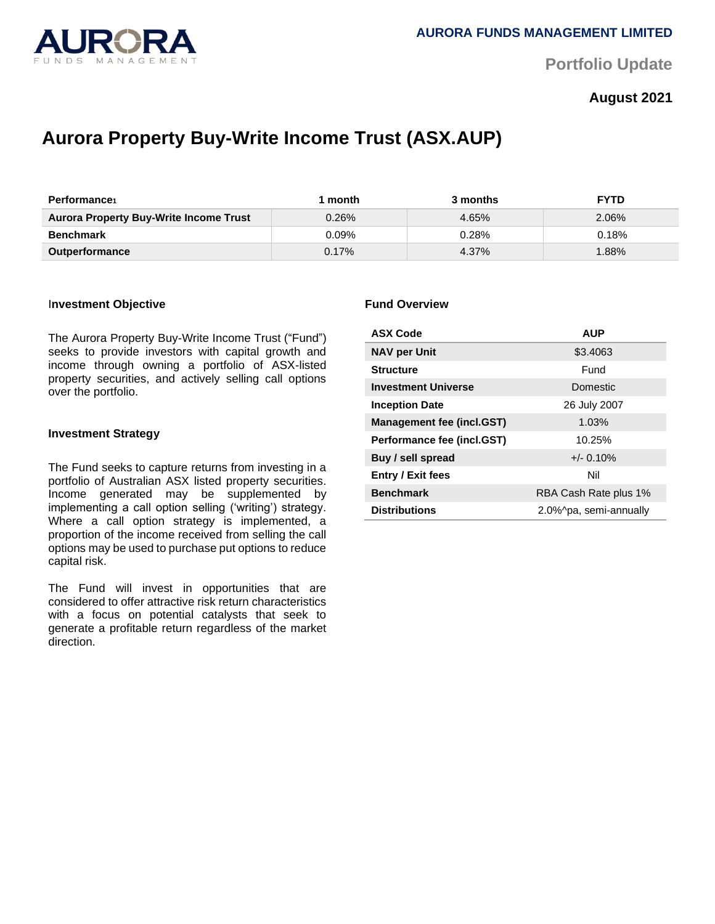

**Portfolio Update** 

# **August 2021**

# **Aurora Property Buy-Write Income Trust (ASX.AUP)**

| <b>Performance</b>                            | month    | 3 months | <b>FYTD</b> |
|-----------------------------------------------|----------|----------|-------------|
| <b>Aurora Property Buy-Write Income Trust</b> | $0.26\%$ | 4.65%    | 2.06%       |
| <b>Benchmark</b>                              | $0.09\%$ | 0.28%    | 0.18%       |
| <b>Outperformance</b>                         | $0.17\%$ | 4.37%    | $.88\%$     |

#### I**nvestment Objective**

The Aurora Property Buy-Write Income Trust ("Fund") seeks to provide investors with capital growth and income through owning a portfolio of ASX-listed property securities, and actively selling call options over the portfolio.

#### **Investment Strategy**

The Fund seeks to capture returns from investing in a portfolio of Australian ASX listed property securities. Income generated may be supplemented by implementing a call option selling ('writing') strategy. Where a call option strategy is implemented, a proportion of the income received from selling the call options may be used to purchase put options to reduce capital risk.

The Fund will invest in opportunities that are considered to offer attractive risk return characteristics with a focus on potential catalysts that seek to generate a profitable return regardless of the market direction.

#### **Fund Overview**

| <b>ASX Code</b>                  | <b>AUP</b>             |  |
|----------------------------------|------------------------|--|
| <b>NAV per Unit</b>              | \$3.4063               |  |
| <b>Structure</b>                 | Fund                   |  |
| <b>Investment Universe</b>       | Domestic               |  |
| <b>Inception Date</b>            | 26 July 2007           |  |
| <b>Management fee (incl.GST)</b> | 1.03%                  |  |
| Performance fee (incl.GST)       | 10.25%                 |  |
| Buy / sell spread                | $+/- 0.10%$            |  |
| <b>Entry / Exit fees</b>         | Nil                    |  |
| <b>Benchmark</b>                 | RBA Cash Rate plus 1%  |  |
| <b>Distributions</b>             | 2.0%^pa, semi-annually |  |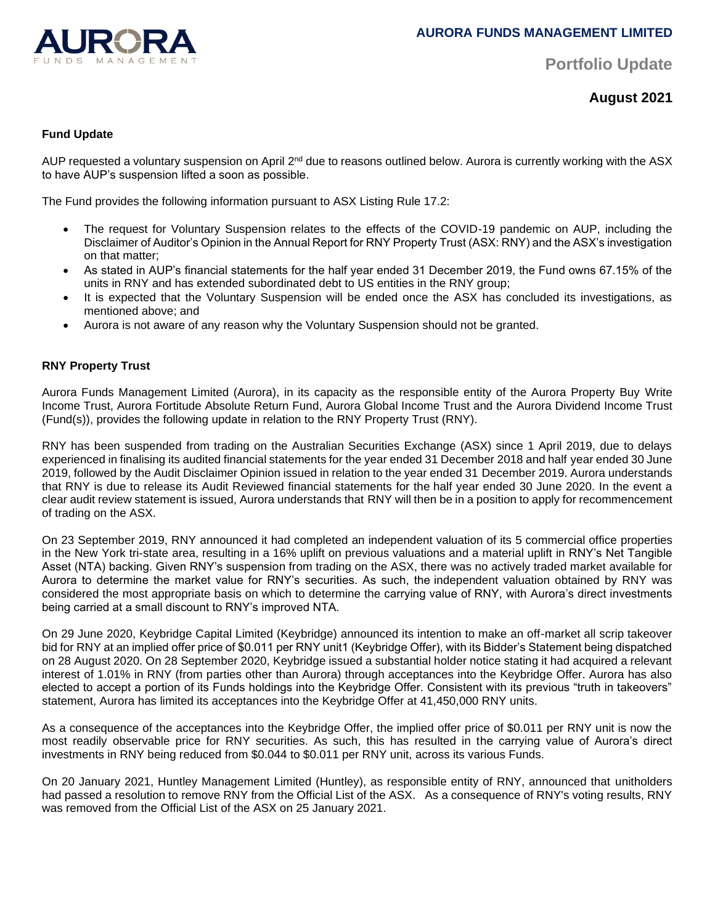

**Portfolio Update** 

**August 2021**

# **Fund Update**

AUP requested a voluntary suspension on April 2<sup>nd</sup> due to reasons outlined below. Aurora is currently working with the ASX to have AUP's suspension lifted a soon as possible.

The Fund provides the following information pursuant to ASX Listing Rule 17.2:

- The request for Voluntary Suspension relates to the effects of the COVID-19 pandemic on AUP, including the Disclaimer of Auditor's Opinion in the Annual Report for RNY Property Trust (ASX: RNY) and the ASX's investigation on that matter;
- As stated in AUP's financial statements for the half year ended 31 December 2019, the Fund owns 67.15% of the units in RNY and has extended subordinated debt to US entities in the RNY group;
- It is expected that the Voluntary Suspension will be ended once the ASX has concluded its investigations, as mentioned above; and
- Aurora is not aware of any reason why the Voluntary Suspension should not be granted.

# **RNY Property Trust**

Aurora Funds Management Limited (Aurora), in its capacity as the responsible entity of the Aurora Property Buy Write Income Trust, Aurora Fortitude Absolute Return Fund, Aurora Global Income Trust and the Aurora Dividend Income Trust (Fund(s)), provides the following update in relation to the RNY Property Trust (RNY).

RNY has been suspended from trading on the Australian Securities Exchange (ASX) since 1 April 2019, due to delays experienced in finalising its audited financial statements for the year ended 31 December 2018 and half year ended 30 June 2019, followed by the Audit Disclaimer Opinion issued in relation to the year ended 31 December 2019. Aurora understands that RNY is due to release its Audit Reviewed financial statements for the half year ended 30 June 2020. In the event a clear audit review statement is issued, Aurora understands that RNY will then be in a position to apply for recommencement of trading on the ASX.

On 23 September 2019, RNY announced it had completed an independent valuation of its 5 commercial office properties in the New York tri-state area, resulting in a 16% uplift on previous valuations and a material uplift in RNY's Net Tangible Asset (NTA) backing. Given RNY's suspension from trading on the ASX, there was no actively traded market available for Aurora to determine the market value for RNY's securities. As such, the independent valuation obtained by RNY was considered the most appropriate basis on which to determine the carrying value of RNY, with Aurora's direct investments being carried at a small discount to RNY's improved NTA.

On 29 June 2020, Keybridge Capital Limited (Keybridge) announced its intention to make an off-market all scrip takeover bid for RNY at an implied offer price of \$0.011 per RNY unit1 (Keybridge Offer), with its Bidder's Statement being dispatched on 28 August 2020. On 28 September 2020, Keybridge issued a substantial holder notice stating it had acquired a relevant interest of 1.01% in RNY (from parties other than Aurora) through acceptances into the Keybridge Offer. Aurora has also elected to accept a portion of its Funds holdings into the Keybridge Offer. Consistent with its previous "truth in takeovers" statement, Aurora has limited its acceptances into the Keybridge Offer at 41,450,000 RNY units.

As a consequence of the acceptances into the Keybridge Offer, the implied offer price of \$0.011 per RNY unit is now the most readily observable price for RNY securities. As such, this has resulted in the carrying value of Aurora's direct investments in RNY being reduced from \$0.044 to \$0.011 per RNY unit, across its various Funds.

On 20 January 2021, Huntley Management Limited (Huntley), as responsible entity of RNY, announced that unitholders had passed a resolution to remove RNY from the Official List of the ASX. As a consequence of RNY's voting results, RNY was removed from the Official List of the ASX on 25 January 2021.